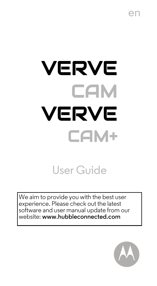# VERVE **CAM** VERVE CAM+

User Guide

We aim to provide you with the best user experience. Please check out the latest software and user manual update from our website: **www.hubbleconnected.com**

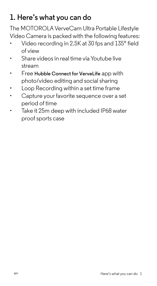# **1. Here's what you can do**

The MOTOROLA VerveCam Ultra Portable Lifestyle Video Camera is packed with the following features:

- Video recording in 2.5K at 30 fps and 135° field of view
- Share videos in real time via Youtube live stream
- Free **Hubble Connect for VerveLife** app with photo/video editing and social sharing
- Loop Recording within a set time frame
- Capture your favorite sequence over a set period of time
- Take it 25m deep with included IP68 water proof sports case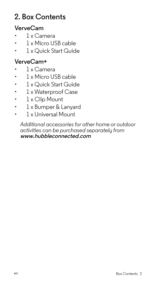## **2. Box Contents**

#### **VerveCam**

- 1 x Camera
- 1 x Micro USB cable
- 1 x Quick Start Guide

#### **VerveCam+**

- 1 x Camera
- 1 x Micro USB cable
- 1 x Quick Start Guide
- 1 x Waterproof Case
- 1 x Clip Mount
- 1 x Bumper & Lanyard
- 1 x Universal Mount

*Additional accessories for other home or outdoor activities can be purchased separately from*  **www.hubbleconnected.com**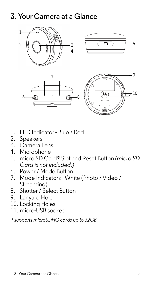# **3. Your Camera at a Glance**



- 1. LED Indicator Blue / Red
- 2. Speakers
- 3. Camera Lens
- 4. Microphone
- 5. micro SD Card\* Slot and Reset Button *(micro SD Card is not included.)*
- 6. Power / Mode Button
- 7. Mode Indicators White (Photo / Video / Streaming)
- 8. Shutter / Select Button
- 9. Lanyard Hole
- 10. Locking Holes
- 11. micro-USB socket

\* *supports microSDHC cards up to 32GB.*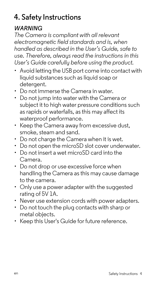# **4. Safety Instructions**

## *WARNING*

*The Camera is compliant with all relevant electromagnetic field standards and is, when handled as described in the User's Guide, safe to use. Therefore, always read the instructions in this User's Guide carefully before using the product.*

- Avoid letting the USB port come into contact with liquid substances such as liquid soap or detergent.
- Do not immerse the Camera in water.
- Do not jump into water with the Camera or subject it to high water pressure conditions such as rapids or waterfalls, as this may affect its waterproof performance.
- Keep the Camera away from excessive dust, smoke, steam and sand.
- Do not charge the Camera when it is wet.
- Do not open the microSD slot cover underwater.
- Do not insert a wet microSD card into the Camera.
- Do not drop or use excessive force when handling the Camera as this may cause damage to the camera.
- Only use a power adapter with the suggested rating of 5V 1A.
- Never use extension cords with power adapters.
- Do not touch the plug contacts with sharp or metal objects.
- Keep this User's Guide for future reference.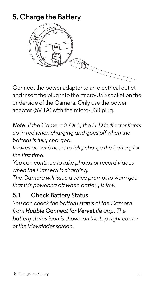# **5. Charge the Battery**



Connect the power adapter to an electrical outlet and insert the plug into the micro-USB socket on the underside of the Camera. Only use the power adapter (5V 1A) with the micro-USB plug.

*Note*: *If the Camera is OFF, the LED indicator lights up in red when charging and goes off when the battery is fully charged.*

*It takes about 6 hours to fully charge the battery for the first time.*

*You can continue to take photos or record videos when the Camera is charging.*

*The Camera will issue a voice prompt to warn you that it is powering off when battery is low.*

## **5.1 Check Battery Status**

*You can check the battery status of the Camera from* Hubble Connect for VerveLife app. The *battery status icon is shown on the top right corner of the Viewfinderscreen.*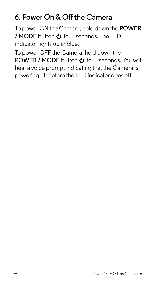## **6. Power On & Off the Camera**

To power ON the Camera, hold down the **POWER / MODE** button  $\Phi$  for 3 seconds. The LED indicator lights up in blue.

To power OFF the Camera, hold down the **POWER / MODE** button  $\Phi$  for 3 seconds. You will hear a voice prompt indicating that the Camera is powering off before the LED indicator goes off.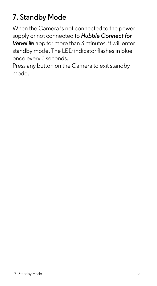# **7. Standby Mode**

When the Camera is not connected to the power supply or not connected to *Hubble Connect for VerveLife* app for more than 3 minutes, it will enter standby mode. The LED indicator flashes in blue once every 3 seconds.

Press any button on the Camera to exit standby mode.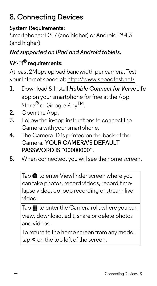# **8. Connecting Devices**

#### **System Requirements:**

Smartphone: iOS 7 (and higher) or Android™ 4.3 (and higher)

#### *Not supported on iPad and Android tablets.*

#### **Wi-Fi® requirements:**

At least 2Mbps upload bandwidth per camera. Test your Internet speed at: http://www.speedtest.net/

- 1. Download & Install *Hubble Connect for VerveLife* app on your smartphone for free at the App Store<sup>®</sup> or Google Play<sup>TM</sup>.
- **2.** Open the App.
- **3.** Follow the in-app instructions to connect the Camera with your smartphone.
- **4.** The Camera ID is printed on the back of the Camera. **YOUR CAMERA'S DEFAULT PASSWORD IS "00000000"**.
- **5.** When connected, you will see the home screen.

Tap **to** to enter Viewfinder screen where you can take photos, record videos, record timelapse video, do loop recording or stream live video.

Tap **II** to enter the Camera roll, where you can view, download, edit, share or delete photos and videos.

To return to the home screen from any mode, tap < on the top left of the screen.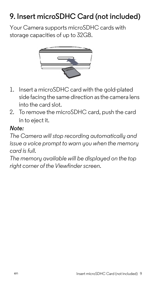# **9. Insert microSDHC Card (not included)**

Your Camera supports microSDHC cards with storage capacities of up to 32GB.



- 1. Insert a microSDHC card with the gold-plated side facing the same direction as the camera lens into the card slot.
- 2. To remove the microSDHC card, push the card in to eject it.

#### *Note:*

*The Camera will stop recording automatically and issue a voice prompt to warn you when the memory card is full.*

*The memory available will be displayed on the top right corner of the Viewfinder screen.*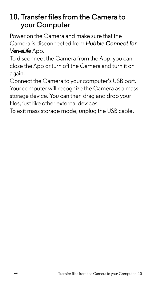## **10. Transfer files from the Camera to your Computer**

Power on the Camera and make sure that the Camera is disconnected from *Hubble Connect for VerveLife* App.

To disconnect the Camera from the App, you can close the App or turn off the Camera and turn it on again.

Connect the Camera to your computer's USB port. Your computer will recognize the Camera as a mass storage device. You can then drag and drop your files, just like other external devices.

To exit mass storage mode, unplug the USB cable.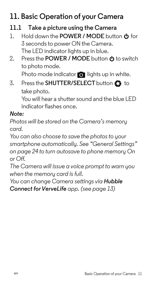# **11. Basic Operation of your Camera**

#### **11.1 Take a picture using the Camera**

- 1. Hold down the **POWER / MODE** button **b** for 3 seconds to power ON the Camera. The LED indicator lights up in blue.
- 2. Press the **POWER / MODE** button **b** to switch to photo mode.

Photo mode indicator  $\bigcirc$  lights up in white.

3. Press the **SHUTTER/SELECT** button **th** to take photo.

You will hear a shutter sound and the blue LED indicator flashes once.

#### *Note:*

*Photos will be stored on the Camera's memory card.*

*You can also choose to save the photosto your smartphone automatically. [See "General Settings"](#page-24-0) [on page](#page-24-0) 24 to turn autosave to phone memory On or Off.*

*The Camera will issue a voice prompt to warn you when the memory card is full.* 

*You can change Camera settings via Hubble Connect for VerveLife app.* (see *[page](#page-13-0)* 13)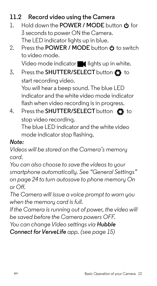## **11.2 Record video using the Camera**

- 1. Hold down the **POWER / MODE** button **b** for 3 seconds to power ON the Camera. The LED indicator lights up in blue.
- 2. Press the **POWER / MODE** button **b** to switch to video mode.

Video mode indicator  $\blacksquare$  lights up in white.

3. Press the **SHUTTER/SELECT** button **th** to start recording video. You will hear a beep sound. The blue LED

indicator and the white video mode indicator flash when video recording is in progress.

4. Press the **SHUTTER/SELECT** button  $\bullet$  to stop video recording.

The blue LED indicator and the white video mode indicator stop flashing.

#### *Note:*

*Videos will be stored on the Camera's memory card.*

*You can also choose to save the videos to your smartphone automatically. [See "General Settings"](#page-24-0) [on page](#page-24-0) 24 to turn autosave to phone memory On or Off.*

*The Camera will issue a voice prompt to warn you when the memory card is full.* 

*If the Camera is running out of power, the video will be saved before the Camera powers OFF.*

*You can change Video settings via Hubble* 

*Connect for VerveLife app. (see [page](#page-15-0) 15)*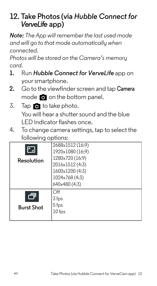## <span id="page-13-0"></span>**12. Take Photos (via** *Hubble Connect for VerveLife* **app)**

*Note: The App will remember the last used mode and will go to that mode automatically when connected.*

*Photos will be stored on the Camera's memory card.*

- **1.** Run *Hubble Connect for VerveLife* app on your smartphone.
- **2.** Go to the viewfinder screen and tap **Camera** mode  $\bigcirc$  on the bottom panel.
- 3. Tap  $\bullet$  to take photo. You will hear a shutter sound and the blue LED indicator flashes once.
- 4. To change camera settings, tap to select the following options:

|                   | 2688x1512(16:9)  |
|-------------------|------------------|
|                   | 1920x1080 (16:9) |
| Resolution        | 1280×720 (16:9)  |
|                   | 2016x1512(4:3)   |
|                   | 1600x1200 (4:3)  |
|                   | 1024x768 (4:3)   |
|                   | 640×480 (4:3)    |
|                   | ∩ff              |
|                   | $3$ fps          |
| <b>Burst Shot</b> | $5$ fps          |
|                   | $10$ fps         |
|                   |                  |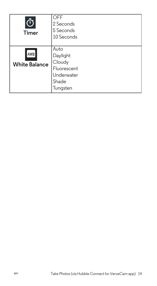| Timer                       | OFF<br>2 Seconds<br>5 Seconds<br>10 Seconds                                  |
|-----------------------------|------------------------------------------------------------------------------|
| AWB<br><b>White Balance</b> | Auto<br>Daylight<br>Cloudy<br>Fluorescent<br>Underwater<br>Shade<br>Tungsten |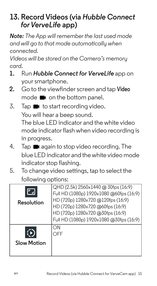## <span id="page-15-0"></span>**13. Record Videos (via** *Hubble Connect forVerveLife* **app)**

*Note: The App will remember the last used mode and will go to that mode automatically when connected.*

*Videos will be stored on the Camera's memory card.*

- **1.** Run *Hubble Connect for VerveLife* app on your smartphone.
- **2.** Go to the viewfinder screen and tap **Video** mode  $\blacksquare$  on the bottom panel.
- $3.$  Tap  $\blacksquare$  to start recording video. You will hear a beep sound. The blue LED indicator and the white video mode indicator flash when video recording is in progress.
- 4. Tap **a** again to stop video recording. The blue LED indicator and the white video mode indicator stop flashing.
- 5. To change video settings, tap to select the following options:

| Resolution         | QHD (2.5k) 2560x1440 @ 30fps (16:9)<br>Full HD (1080p) 1920x1080 @60fps (16:9)<br>HD (720p) 1280x720 @120fps (16:9)<br>HD (720p) 1280x720 @60fps (16:9)<br>HD (720p) 1280x720 @30fps (16:9)<br>Full HD (1080p) 1920x1080 @30fps (16:9) |
|--------------------|----------------------------------------------------------------------------------------------------------------------------------------------------------------------------------------------------------------------------------------|
| <b>Slow Motion</b> | OΝ<br>∩FF                                                                                                                                                                                                                              |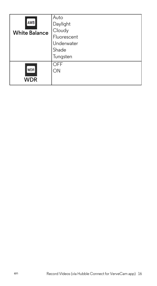| AWB<br><b>White Balance</b> | Auto<br>Daylight<br>Cloudy<br>Fluorescent<br>Underwater<br>Shade<br>Tungsten |
|-----------------------------|------------------------------------------------------------------------------|
| <b>WDR</b>                  | OFF                                                                          |
| WDR                         | ON                                                                           |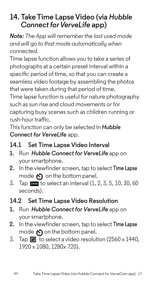## **14. Take Time Lapse Video (via** *Hubble Connect for VerveLife* app)

*Note: The App will remember the last used mode and will go to that mode automatically when connected.*

Time lapse function allows you to take a series of photographs at a certain preset interval within a specific period of time, so that you can create a seamless video footage by assembling the photos that were taken during that period of time.

Time lapse function is useful for nature photography such as sun rise and cloud movements or for capturing busy scenes such as children running or rush-hour traffic.

This function can only be selected in *Hubble Connect for VerveLife* app.

### **14.1 Set Time Lapse Video Interval**

- **1.** Run *Hubble Connect for VerveLife* app on your smartphone.
- **2.** In the viewfinderscreen, tap to select **Time Lapse** mode  $\left\langle \cdot \right\rangle$  on the bottom panel.
- 3. Tap  $\frac{1}{2}$  to select an interval (1, 2, 3, 5, 10, 30, 60 seconds).
- **14.2 Set Time Lapse Video Resolution**
- **1.** Run *Hubble Connect for VerveLife* app on your smartphone.
- **2.** In the viewfinderscreen, tap to select **Time Lapse** mode  $\bigcirc$  on the bottom panel.
- 3. Tap  $\blacksquare$  to select a video resolution (2560 x 1440. 1920 x 1080, 1280x 720).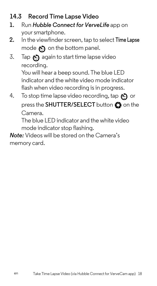#### **14.3 Record Time Lapse Video**

- **1.** Run *Hubble Connect for VerveLife* app on your smartphone.
- **2.** In the viewfinderscreen, tap to select **Time Lapse** mode  $\bigcirc$  on the bottom panel.
- 3. Tap  $\bigcirc$  again to start time lapse video recording.

You will hear a beep sound. The blue LED indicator and the white video mode indicator flash when video recording is in progress.

4. To stop time lapse video recording, tap  $\odot$  or press the **SHUTTER/SELECT** button  $\Omega$  on the Camera.

The blue LED indicator and the white video mode indicator stop flashing.

*Note:* Videos will be stored on the Camera's memory card.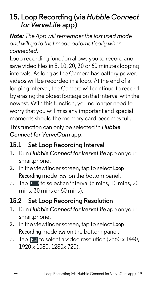## **15. Loop Recording (via** *Hubble Connect forVerveLife* **app)**

*Note: The App will remember the last used mode and will go to that mode automatically when connected.*

Loop recording function allows you to record and save video files in 5, 10, 20, 30 or 60 minutes looping intervals. As long as the Camera has battery power, videos will be recorded in a loop. At the end of a looping interval, the Camera will continue to record by erasing the oldest footage on that interval with the newest. With this function, you no longer need to worry that you will miss any important and special moments should the memory card becomes full.

This function can only be selected in *Hubble Connect for VerveCam* app.

### **15.1 Set Loop Recording Interval**

- **1.** Run *Hubble Connectfor VerveLife* app on your smartphone.
- **2.** In the viewfinderscreen, tap to select **Loop Recording** mode  $\infty$  on the bottom panel.
- 3. Tap  $\Box$  to select an interval (5 mins, 10 mins, 20 mins, 30 mins or 60 mins).

## **15.2 Set Loop Recording Resolution**

- 1. Run *Hubble Connect for VerveLife* app on your smartphone.
- **2.** In the viewfinderscreen, tap to select **Loop**  Recording mode  $\infty$  on the bottom panel.
- 3. Tap  $\blacksquare$  to select a video resolution (2560 x 1440, 1920 x 1080, 1280x 720).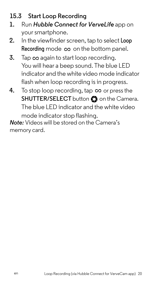### **15.3 Start Loop Recording**

- **1.** Run *Hubble Connect for VerveLife* app on your smartphone.
- **2.** In the viewfinderscreen, tap to select **Loop** Recording mode co on the bottom panel.
- **3.** Tap  $\infty$  again to start loop recording. You will hear a beep sound. The blue LED indicator and the white video mode indicator flash when loop recording is in progress.
- **4.** To stop loop recording, tap  $\infty$  or press the **SHUTTER/SELECT** button  $\bullet$  on the Camera. The blue LED indicator and the white video mode indicator stop flashing.

*Note:* Videos will be stored on the Camera's memory card.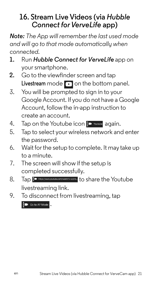## **16. Stream Live Videos (via** *Hubble* **Connect for VerveLife app)**

*Note: The App will remember the last used mode and will go to that mode automatically when connected.*

- **1.** Run *Hubble Connect for VerveLife* app on your smartphone.
- **2.** Go to the viewfinder screen and tap Livestream mode **of** on the bottom panel.
- 3. You will be prompted to sign in to your Google Account. If you do not have a Google Account, follow the in-app instruction to create an account.
- 4. Tap on the Youtube icon **Ex Youtube** again.
- 5. Tap to select your wireless network and enter the password.
- 6. Wait for the setup to complete. It may take up to a minute.
- 7. The screen will show if the setup is completed successfully.
- 8. Tap  $\frac{1}{2}$  Intes://www.youtube.com/watch?v=ZQVb...<sup>1</sup> to share the Youtube livestreaming link.
- 9. To disconnect from livestreaming, tap .<br>■ Go to AP Mode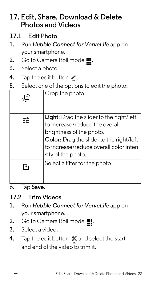## **17. Edit, Share, Download & Delete Photos and Videos**

- **17.1 Edit Photo**
- **1.** Run *Hubble Connect for VerveLife* app on your smartphone.
- 2. Go to Camera Roll mode ...
- **3.** Select a photo.
- 4. Tap the edit button  $\lambda$ .
- **5.** Select one of the optionsto edit the photo:

| ゙゙゙゙゙゙゙゙゙゙゙゙゙゙゙゙゙゙゙゙゙゙゚゙゙゙゙゙゙゚゙゚ | Crop the photo.                                                                                                                                                                                                            |
|----------------------------------|----------------------------------------------------------------------------------------------------------------------------------------------------------------------------------------------------------------------------|
|                                  | Light: Drag the slider to the right/left<br>to increase/reduce the overall<br>brightness of the photo.<br><b>Color:</b> Drag the slider to the right/left<br>to increase/reduce overall color inten-<br>sity of the photo. |
| F÷                               | Select a filter for the photo                                                                                                                                                                                              |

6. Tap **Save**.

#### **17.2 Trim Videos**

- **1.** Run *Hubble Connect for VerveLife* app on your smartphone.
- 2. Go to Camera Roll mode ...
- **3.** Select a video.
- 4. Tap the edit button  $\chi$  and select the start and end of the video to trim it.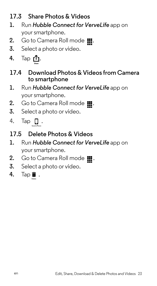## **17.3 Share Photos & Videos**

- **1.** Run *Hubble Connect for VerveLife* app on your smartphone.
- 2. Go to Camera Roll mode ...
- **3.** Select a photo or video.
- **4.** Tap **凸**.
- **17.4 Download Photos & Videos from Camera to smartphone**
- **1.** Run *Hubble Connect for VerveLife* app on your smartphone.
- 2. Go to Camera Roll mode  $\blacksquare$ .
- **3.** Select a photo or video.
- 4. Tap **Q** .
- **17.5 Delete Photos & Videos**
- **1.** Run *Hubble Connect for VerveLife* app on your smartphone.
- 2. Go to Camera Roll mode  $\blacksquare$ .
- **3.** Select a photo or video.
- **4.** Tap■.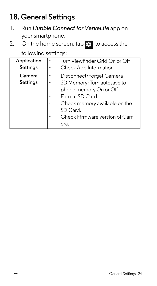# <span id="page-24-0"></span>**18. General Settings**

- 1. Run *Hubble Connect for VerveLife* app on your smartphone.
- 2. On the home screen, tap  $\bullet$  to access the

following settings:

| Application | Turn Viewfinder Grid On or Off |
|-------------|--------------------------------|
| Settings    | Check App Information          |
| Camera      | Disconnect/Forget Camera       |
| Settings    | SD Memory: Turn autosave to    |
|             | phone memory On or Off         |
|             | Format SD Card                 |
|             | Check memory available on the  |
|             | SD Card.                       |
|             | Check Firmware version of Cam- |
|             | era.                           |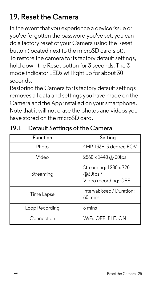# **19. Reset the Camera**

In the event that you experience a device issue or you've forgotten the password you've set, you can do a factory reset of your Camera using the Reset button (located next to the microSD card slot). To restore the camera to its factory default settings, hold down the Reset button for 3 seconds. The 3 mode indicator LEDs will light up for about 30 seconds.

Restoring the Camera to its factory default settings removes all data and settings you have made on the Camera and the App installed on your smartphone. Note that it will not erase the photos and videos you have stored on the microSD card.

| Function       | Setting                                                      |
|----------------|--------------------------------------------------------------|
| Photo          | 4MP 133+-3 degree FOV                                        |
| Video          | $2560 \times 1440$ @ 30fps                                   |
| Streaming      | Streaming: 1280 x 720<br>$@30$ fps /<br>Video recording: OFF |
| Time Lapse     | Interval: 5sec / Duration:<br>$60 \text{ mins}$              |
| Loop Recording | $5 \text{ mins}$                                             |
| Connection     | WiFi: OFF: BLE: ON                                           |

#### **19.1 Default Settings of the Camera**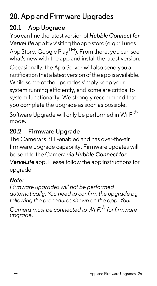# **20. App and Firmware Upgrades**

## **20.1 App Upgrade**

You can findthe latest version of *Hubble Connect for VerveLife* app by visiting the app store (e.g.: iTunes App Store, Google Play<sup>TM</sup>). From there, you can see what's new with the app and install the latest version.

Occasionally, the App Server will also send you a notification that a latest version of the app is available. While some of the upgrades simply keep your system running efficiently, and some are critical to system functionality. We strongly recommend that you complete the upgrade as soon as possible.

Software Upgrade will only be performed in Wi-Fi<sup>®</sup> mode.

## **20.2 Firmware Upgrade**

The Camera is BLE-enabled and has over-the-air firmware upgrade capability. Firmware updates will be sent to the Camera via *Hubble Connect for VerveLife* app. Please follow the app instructions for upgrade.

### *Note:*

*Firmware upgrades will not be performed automatically. You need to confirm the upgrade by following the procedures shown on the app. Your*

*Camera must be connected to Wi-Fi® for firmware upgrade.*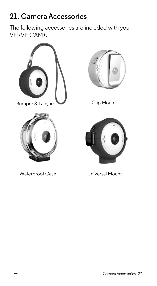# **21. Camera Accessories**

The following accessories are included with your VERVE CAM+.



Bumper & Lanyard Clip Mount



Waterproof Case **Universal Mount** 



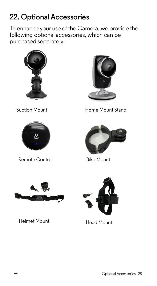# **22. Optional Accessories**

To enhance your use of the Camera, we provide the following optional accessories, which can be purchased separately:





Remote Control Bike Mount



Suction Mount **Home Mount Stand** 





Helmet Mount Head Mount

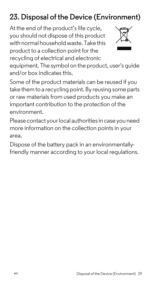# **23. Disposal of the Device (Environment)**

At the end of the product's life cycle, you should not dispose of this product with normal household waste. Take this product to a collection point for the recycling of electrical and electronic



equipment. The symbol on the product, user's guide and/or box indicates this.

Some of the product materials can be reused if you take them to a recycling point. By reusing some parts or raw materials from used products you make an important contribution to the protection of the environment.

Please contact your local authorities in case you need more information on the collection points in your area.

Dispose of the battery pack in an environmentallyfriendly manner according to your local regulations.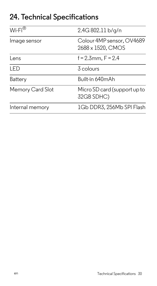## **24. Technical Specifications**

| $Wi-Fi^{\circledR}$ | 2.4G 802.11 b/g/n                              |
|---------------------|------------------------------------------------|
| Image sensor        | Colour 4MP sensor, OV4689<br>2688 x 1520, CMOS |
| Lens                | $f = 2.3$ mm, $F = 2.4$                        |
| I FD                | 3 colours                                      |
| Battery             | Built-in 640mAh                                |
| Memory Card Slot    | Micro SD card (support up to<br>32GB SDHC)     |
| Internal memory     | 1Gb DDR3, 256Mb SPI Flash                      |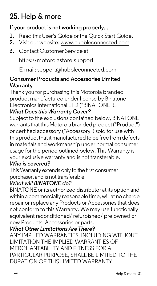# **25. Help & more**

#### **If your product is not working properly....**

- **1.** Read this User's Guide or the Quick Start Guide.
- **2.** Visit our website: www.hubbleconnected.com
- **3.** Contact Customer Service at

https://motorolastore.support

E-mail: support@hubbleconnected.com

#### **Consumer Products and Accessories Limited Warranty**

Thank you for purchasing this Motorola branded product manufactured under license by Binatone Electronics International LTD ("BINATONE").

#### *What Does this Warranty Cover?*

Subject to the exclusions contained below, BINATONE warrants that this Motorola branded product ("Product") or certified accessory ("Accessory") sold for use with this product that it manufactured to be free from defects in materials and workmanship under normal consumer usage for the period outlined below. This Warranty is your exclusive warranty and is not transferable.

#### *Who is covered?*

This Warranty extends only to the first consumer purchaser, and is not transferable.

#### *What will BINATONE do?*

BINATONE or its authorized distributor at its option and within a commercially reasonable time, will at no charge repair or replace any Products or Accessories that does not conform to this Warranty. We may use functionally equivalent reconditioned/ refurbished/ pre-owned or new Products, Accessories or parts.

#### *What Other Limitations Are There?*

ANY IMPLIED WARRANTIES, INCLUDING WITHOUT LIMITATION THE IMPLIED WARRANTIES OF MERCHANTABILITY AND FITNESS FOR A PARTICULAR PURPOSE, SHALL BE LIMITED TO THE DURATION OF THIS LIMITED WARRANTY,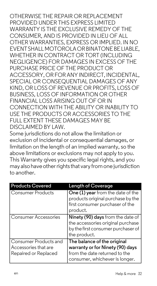OTHERWISE THE REPAIR OR REPLACEMENT PROVIDED UNDER THIS EXPRESS LIMITED WARRANTY IS THE EXCLUSIVE REMEDY OF THE CONSUMER, AND IS PROVIDED IN LIEU OF ALL OTHER WARRANTIES, EXPRESS OR IMPLIED. IN NO EVENT SHALL MOTOROLA OR BINATONE BE LIABLE, WHETHER IN CONTRACT OR TORT (INCLUDING NEGLIGENCE) FOR DAMAGES IN EXCESS OF THE PURCHASE PRICE OF THE PRODUCT OR ACCESSORY, OR FOR ANY INDIRECT, INCIDENTAL, SPECIAL OR CONSEQUENTIAL DAMAGES OF ANY KIND, OR LOSS OF REVENUE OR PROFITS, LOSS OF BUSINESS, LOSS OF INFORMATION OR OTHER FINANCIAL LOSS ARISING OUT OF OR IN CONNECTION WITH THE ABILITY OR INABILITY TO USE THE PRODUCTS OR ACCESSORIES TO THE FULL EXTENT THESE DAMAGES MAY BE DISCLAIMED BY LAW.

Some jurisdictions do not allow the limitation or exclusion of incidental or consequential damages, or limitation on the length of an implied warranty, so the above limitations or exclusions may not apply to you. This Warranty gives you specific legal rights, and you may also have other rights that vary from one jurisdiction to another.

| <b>Products Covered</b>                                               | <b>Length of Coverage</b>                                                                                                           |
|-----------------------------------------------------------------------|-------------------------------------------------------------------------------------------------------------------------------------|
| <b>Consumer Products</b>                                              | One (1) year from the date of the<br>products original purchase by the<br>first consumer purchaser of the<br>product.               |
| Consumer Accessories                                                  | <b>Ninety (90) days</b> from the date of<br>the accessories original purchase<br>by the first consumer purchaser of<br>the product. |
| Consumer Products and<br>Accessories that are<br>Repaired or Replaced | The balance of the original<br>warranty or for Ninety (90) days<br>from the date returned to the<br>consumer, whichever is longer.  |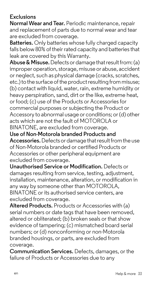#### **Exclusions**

**Normal Wear and Tear.** Periodic maintenance, repair and replacement of parts due to normal wear and tear are excluded from coverage.

**Batteries.** Only batteries whose fully charged capacity falls below 80% of their rated capacity and batteries that leak are covered by this Warranty.

**Abuse & Misuse.** Defects or damage that result from: (a) improper operation, storage, misuse or abuse, accident or neglect, such as physical damage (cracks, scratches, etc.) to the surface of the product resulting from misuse; (b) contact with liquid, water, rain, extreme humidity or heavy perspiration, sand, dirt or the like, extreme heat, or food; (c) use of the Products or Accessories for commercial purposes or subjecting the Product or Accessory to abnormal usage or conditions; or (d) other acts which are not the fault of MOTOROLA or BINATONE, are excluded from coverage.

**Use of Non-Motorola branded Products and Accessories.** Defects or damage that result from the use of Non-Motorola branded or certified Products or Accessories or other peripheral equipment are excluded from coverage.

**Unauthorised Service or Modification.** Defects or damages resulting from service, testing, adjustment, installation, maintenance, alteration, or modification in any way by someone other than MOTOROLA, BINATONE or its authorised service centers, are excluded from coverage.

**Altered Products.** Products or Accessories with (a) serial numbers or date tags that have been removed. altered or obliterated; (b) broken seals or that show evidence of tampering; (c) mismatched board serial numbers; or (d) nonconforming or non-Motorola branded housings, or parts, are excluded from coverage.

**Communication Services.** Defects, damages, or the failure of Products or Accessories due to any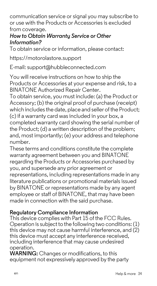communication service or signal you may subscribe to or use with the Products or Accessories is excluded from coverage.

#### *How to Obtain Warranty Service or Other Information?*

To obtain service or information, please contact:

https://motorolastore.support

E-mail: support@hubbleconnected.com

You will receive instructions on how to ship the Products or Accessories at your expense and risk, to a BINATONE Authorized Repair Center.

To obtain service, you must include: (a) the Product or Accessory: (b) the original proof of purchase (receipt) which includes the date, place and seller of the Product; (c) if a warranty card was included in your box, a completed warranty card showing the serial number of the Product; (d) a written description of the problem; and, most importantly; (e) your address and telephone number.

These terms and conditions constitute the complete warranty agreement between you and BINATONE regarding the Products or Accessories purchased by you, and supersede any prior agreement or representations, including representations made in any literature publications or promotional materials issued by BINATONE or representations made by any agent employee or staff of BINATONE, that may have been made in connection with the said purchase.

#### **Regulatory Compliance Information**

This device complies with Part 15 of the FCC Rules. Operation is subject to the following two conditions: (1) this device may not cause harmful interference, and (2) this device must accept any interference received, including interference that may cause undesired operation.

**WARNING:** Changes or modifications, to this equipment not expressively approved by the party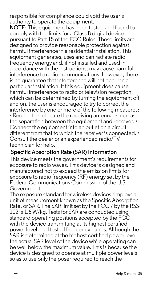responsible for compliance could void the user's authority to operate the equipment.

**NOTE:** This equipment has been tested and found to comply with the limits for a Class B digital device. pursuant to Part 15 of the FCC Rules. These limits are designed to provide reasonable protection against harmful interference in a residential installation. This equipment generates, uses and can radiate radio frequency energy and, if not installed and used in accordance with the instructions, may cause harmful interference to radio communications. However, there is no guarantee that interference will not occur in a particular installation. If this equipment does cause harmful interference to radio or television reception, which can be determined by turning the equipment off and on, the user is encouraged to try to correct the interference by one or more of the following measures: • Reorient or relocate the receiving antenna. • Increase the separation between the equipment and receiver. • Connect the equipment into an outlet on a circuit different from that to which the receiver is connected. • Consult the dealer or an experienced radio/TV technician for help.

#### **Specific Absorption Rate (SAR) Information**

This device meets the government's requirements for exposure to radio waves. This device is designed and manufactured not to exceed the emission limits for exposure to radio frequency (RF) energy set by the Federal Communications Commission of the U.S. Government.

The exposure standard for wireless devices employs a unit of measurement known as the Specific Absorption Rate, or SAR. The SAR limit set by the FCC / by the RSS-102 is 1.6 W/kg. Tests for SAR are conducted using standard operating positions accepted by the FCC with the device transmitting at its highest certified power level in all tested frequency bands. Although the SAR is determined at the highest certified power level, the actual SAR level of the device while operating can be well below the maximum value. This is because the device is designed to operate at multiple power levels so as to use only the poser required to reach the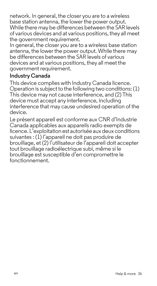network. In general, the closer you are to a wireless base station antenna, the lower the power output. While there may be differences between the SAR levels of various devices and at various positions, they all meet the government requirement.

In general, the closer you are to a wireless base station antenna, the lower the power output. While there may be differences between the SAR levels of various devices and at various positions, they all meet the government requirement.

#### **Industry Canada**

This device complies with Industry Canada licence. Operation is subject to the following two conditions: (1) This device may not cause interference, and (2) This device must accept any interference, including interference that may cause undesired operation of the device.

Le présent appareil est conforme aux CNR d'Industrie Canada applicables aux appareils radio exempts de licence. L'exploitation est autorisée aux deux conditions suivantes : (1) l'appareil ne doit pas produire de brouillage, et (2) l'utilisateur de l'appareil doit accepter tout brouillage radioélectrique subi, même si le brouillage est susceptible d'en compromettre le fonctionnement.